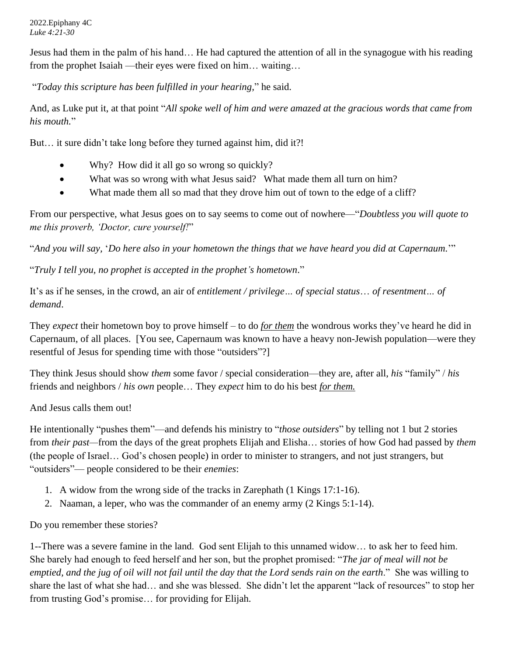2022.Epiphany 4C *Luke 4:21-30*

Jesus had them in the palm of his hand… He had captured the attention of all in the synagogue with his reading from the prophet Isaiah —their eyes were fixed on him… waiting…

"*Today this scripture has been fulfilled in your hearing,*" he said.

And, as Luke put it, at that point "*All spoke well of him and were amazed at the gracious words that came from his mouth.*"

But… it sure didn't take long before they turned against him, did it?!

- Why? How did it all go so wrong so quickly?
- What was so wrong with what Jesus said? What made them all turn on him?
- What made them all so mad that they drove him out of town to the edge of a cliff?

From our perspective, what Jesus goes on to say seems to come out of nowhere—"*Doubtless you will quote to me this proverb, 'Doctor, cure yourself!*"

"*And you will say,* '*Do here also in your hometown the things that we have heard you did at Capernaum.*'"

"*Truly I tell you, no prophet is accepted in the prophet's hometown*."

It's as if he senses, in the crowd, an air of *entitlement / privilege… of special status*… *of resentment… of demand*.

They *expect* their hometown boy to prove himself – to do *for them* the wondrous works they've heard he did in Capernaum, of all places. [You see, Capernaum was known to have a heavy non-Jewish population—were they resentful of Jesus for spending time with those "outsiders"?]

They think Jesus should show *them* some favor / special consideration—they are, after all, *his* "family" / *his* friends and neighbors / *his own* people… They *expect* him to do his best *for them.*

And Jesus calls them out!

He intentionally "pushes them"—and defends his ministry to "*those outsiders*" by telling not 1 but 2 stories from *their past—*from the days of the great prophets Elijah and Elisha… stories of how God had passed by *them* (the people of Israel… God's chosen people) in order to minister to strangers, and not just strangers, but "outsiders"— people considered to be their *enemies*:

- 1. A widow from the wrong side of the tracks in Zarephath (1 Kings 17:1-16).
- 2. Naaman, a leper, who was the commander of an enemy army (2 Kings 5:1-14).

Do you remember these stories?

1--There was a severe famine in the land. God sent Elijah to this unnamed widow… to ask her to feed him. She barely had enough to feed herself and her son, but the prophet promised: "*The jar of meal will not be emptied, and the jug of oil will not fail until the day that the Lord sends rain on the earth*." She was willing to share the last of what she had… and she was blessed. She didn't let the apparent "lack of resources" to stop her from trusting God's promise… for providing for Elijah.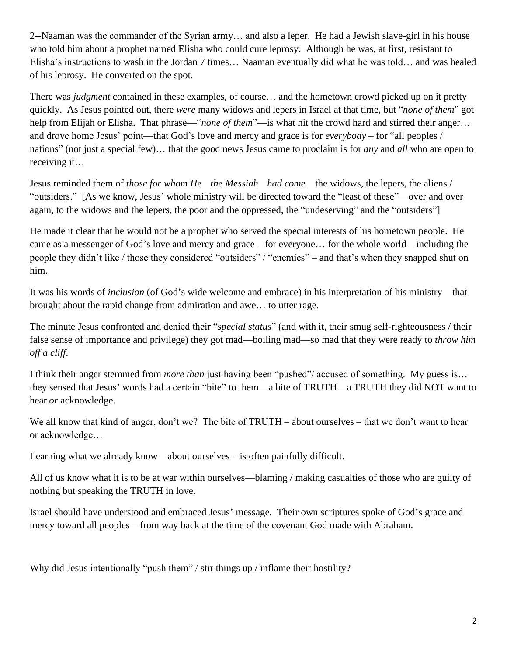2--Naaman was the commander of the Syrian army… and also a leper. He had a Jewish slave-girl in his house who told him about a prophet named Elisha who could cure leprosy. Although he was, at first, resistant to Elisha's instructions to wash in the Jordan 7 times… Naaman eventually did what he was told… and was healed of his leprosy. He converted on the spot.

There was *judgment* contained in these examples, of course… and the hometown crowd picked up on it pretty quickly. As Jesus pointed out, there *were* many widows and lepers in Israel at that time, but "*none of them*" got help from Elijah or Elisha. That phrase—"*none of them*"—is what hit the crowd hard and stirred their anger… and drove home Jesus' point—that God's love and mercy and grace is for *everybody* – for "all peoples / nations" (not just a special few)… that the good news Jesus came to proclaim is for *any* and *all* who are open to receiving it…

Jesus reminded them of *those for whom He—the Messiah—had come*—the widows, the lepers, the aliens / "outsiders." [As we know, Jesus' whole ministry will be directed toward the "least of these"—over and over again, to the widows and the lepers, the poor and the oppressed, the "undeserving" and the "outsiders"]

He made it clear that he would not be a prophet who served the special interests of his hometown people. He came as a messenger of God's love and mercy and grace – for everyone… for the whole world – including the people they didn't like / those they considered "outsiders" / "enemies" – and that's when they snapped shut on him.

It was his words of *inclusion* (of God's wide welcome and embrace) in his interpretation of his ministry—that brought about the rapid change from admiration and awe… to utter rage.

The minute Jesus confronted and denied their "*special status*" (and with it, their smug self-righteousness / their false sense of importance and privilege) they got mad—boiling mad—so mad that they were ready to *throw him off a cliff*.

I think their anger stemmed from *more than* just having been "pushed"/ accused of something. My guess is… they sensed that Jesus' words had a certain "bite" to them—a bite of TRUTH—a TRUTH they did NOT want to hear *or* acknowledge.

We all know that kind of anger, don't we? The bite of TRUTH – about ourselves – that we don't want to hear or acknowledge…

Learning what we already know – about ourselves – is often painfully difficult.

All of us know what it is to be at war within ourselves—blaming / making casualties of those who are guilty of nothing but speaking the TRUTH in love.

Israel should have understood and embraced Jesus' message. Their own scriptures spoke of God's grace and mercy toward all peoples – from way back at the time of the covenant God made with Abraham.

Why did Jesus intentionally "push them" / stir things up / inflame their hostility?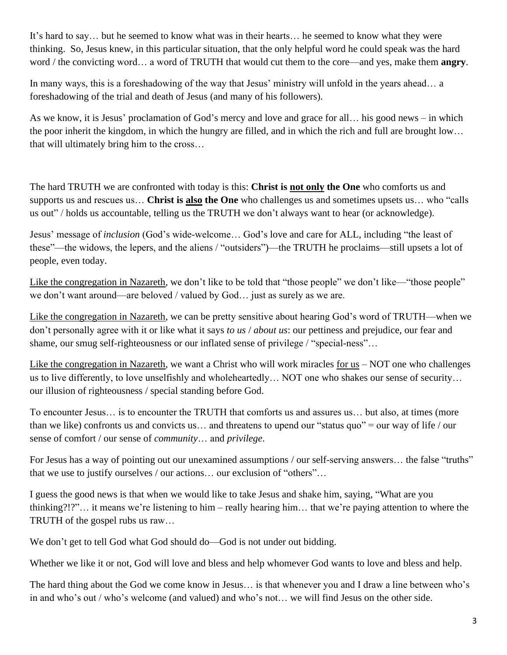It's hard to say… but he seemed to know what was in their hearts… he seemed to know what they were thinking. So, Jesus knew, in this particular situation, that the only helpful word he could speak was the hard word / the convicting word… a word of TRUTH that would cut them to the core—and yes, make them **angry**.

In many ways, this is a foreshadowing of the way that Jesus' ministry will unfold in the years ahead… a foreshadowing of the trial and death of Jesus (and many of his followers).

As we know, it is Jesus' proclamation of God's mercy and love and grace for all… his good news – in which the poor inherit the kingdom, in which the hungry are filled, and in which the rich and full are brought low… that will ultimately bring him to the cross…

The hard TRUTH we are confronted with today is this: **Christ is not only the One** who comforts us and supports us and rescues us… **Christ is also the One** who challenges us and sometimes upsets us… who "calls us out" / holds us accountable, telling us the TRUTH we don't always want to hear (or acknowledge).

Jesus' message of *inclusion* (God's wide-welcome… God's love and care for ALL, including "the least of these"—the widows, the lepers, and the aliens / "outsiders")—the TRUTH he proclaims—still upsets a lot of people, even today.

Like the congregation in Nazareth, we don't like to be told that "those people" we don't like—"those people" we don't want around—are beloved / valued by God… just as surely as we are.

Like the congregation in Nazareth, we can be pretty sensitive about hearing God's word of TRUTH—when we don't personally agree with it or like what it says *to us* / *about us*: our pettiness and prejudice, our fear and shame, our smug self-righteousness or our inflated sense of privilege / "special-ness"…

Like the congregation in Nazareth, we want a Christ who will work miracles for  $us - NOT$  one who challenges us to live differently, to love unselfishly and wholeheartedly… NOT one who shakes our sense of security… our illusion of righteousness / special standing before God.

To encounter Jesus… is to encounter the TRUTH that comforts us and assures us… but also, at times (more than we like) confronts us and convicts us… and threatens to upend our "status quo" = our way of life / our sense of comfort / our sense of *community*… and *privilege*.

For Jesus has a way of pointing out our unexamined assumptions / our self-serving answers... the false "truths" that we use to justify ourselves / our actions… our exclusion of "others"…

I guess the good news is that when we would like to take Jesus and shake him, saying, "What are you thinking?!?"… it means we're listening to him – really hearing him… that we're paying attention to where the TRUTH of the gospel rubs us raw…

We don't get to tell God what God should do—God is not under out bidding.

Whether we like it or not, God will love and bless and help whomever God wants to love and bless and help.

The hard thing about the God we come know in Jesus… is that whenever you and I draw a line between who's in and who's out / who's welcome (and valued) and who's not… we will find Jesus on the other side.